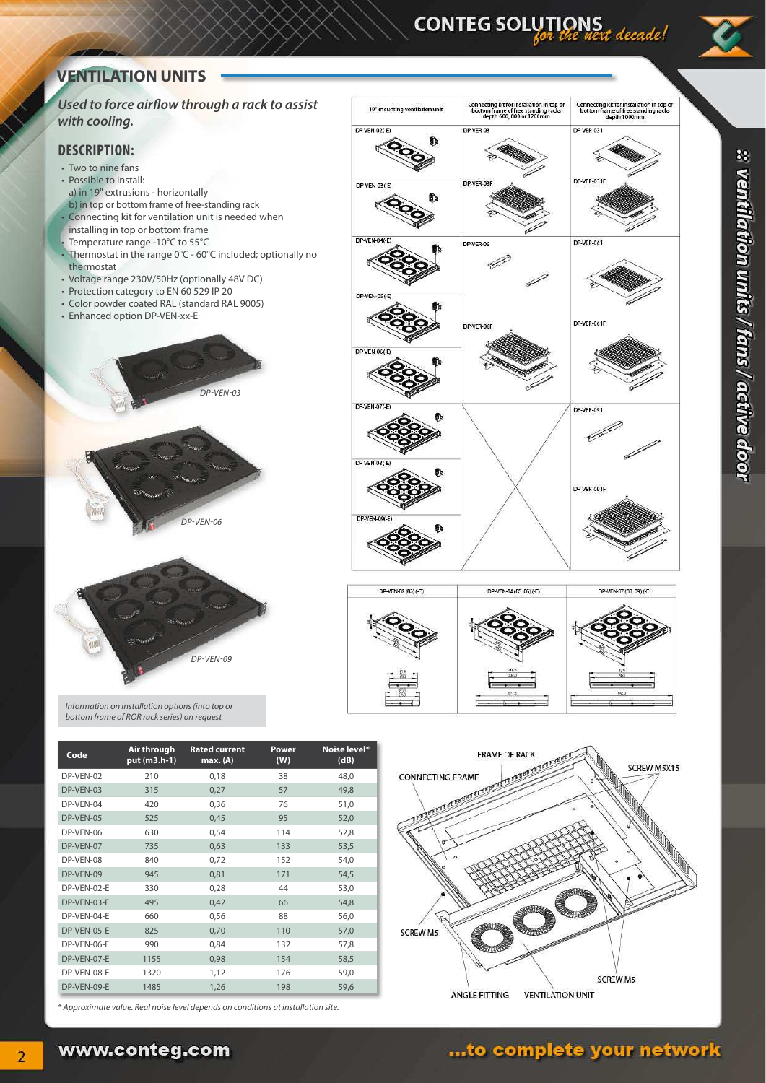# CONTEG SOLUTIONS<br>ext decade!

# **VENTILATION UNITS**

**Used to force airlow through a rack to assist with cooling.**

#### **DESCRIPTION:**

- Two to nine fans
- Possible to install:
- a) in 19" extrusions horizontally b) in top or bottom frame of free-standing rack
- Connecting kit for ventilation unit is needed when
- installing in top or bottom frame
- Temperature range -10°C to 55°C
- Thermostat in the range 0°C 60°C included; optionally no thermostat
- Voltage range 230V/50Hz (optionally 48V DC)
- Protection category to EN 60 529 IP 20 • Color powder coated RAL (standard RAL 9005)
- Enhanced option DP-VEN-xx-E



Information on installation options (into top or



| Code        | Air through<br>put (m3.h-1) | <b>Rated current</b><br>max.(A) | Power<br>(W) | Noise level*<br>(dB) |
|-------------|-----------------------------|---------------------------------|--------------|----------------------|
| DP-VEN-02   | 210                         | 0,18                            | 38           | 48,0                 |
| DP-VEN-03   | 315                         | 0,27                            | 57           | 49,8                 |
| DP-VEN-04   | 420                         | 0,36                            | 76           | 51,0                 |
| DP-VEN-05   | 525                         | 0,45                            | 95           | 52,0                 |
| DP-VEN-06   | 630                         | 0,54                            | 114          | 52,8                 |
| DP-VEN-07   | 735                         | 0,63                            | 133          | 53,5                 |
| DP-VEN-08   | 840                         | 0,72                            | 152          | 54,0                 |
| DP-VEN-09   | 945                         | 0,81                            | 171          | 54,5                 |
| DP-VEN-02-E | 330                         | 0,28                            | 44           | 53,0                 |
| DP-VEN-03-E | 495                         | 0,42                            | 66           | 54,8                 |
| DP-VEN-04-E | 660                         | 0,56                            | 88           | 56,0                 |
| DP-VEN-05-E | 825                         | 0,70                            | 110          | 57,0                 |
| DP-VEN-06-E | 990                         | 0,84                            | 132          | 57,8                 |
| DP-VEN-07-E | 1155                        | 0,98                            | 154          | 58,5                 |
| DP-VEN-08-E | 1320                        | 1,12                            | 176          | 59,0                 |
| DP-VEN-09-E | 1485                        | 1,26                            | 198          | 59,6                 |
|             |                             |                                 |              |                      |

DP-VEN-09

\* Approximate value. Real noise level depends on conditions at installation site.

www.conteg.com







# ...to complete your network